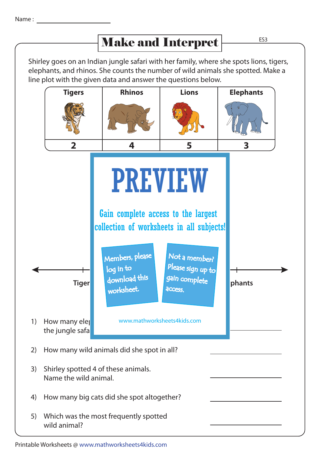## Make and Interpret

Shirley goes on an Indian jungle safari with her family, where she spots lions, tigers, elephants, and rhinos. She counts the number of wild animals she spotted. Make a line plot with the given data and answer the questions below.



## Printable Worksheets @ www.mathworksheets4kids.com